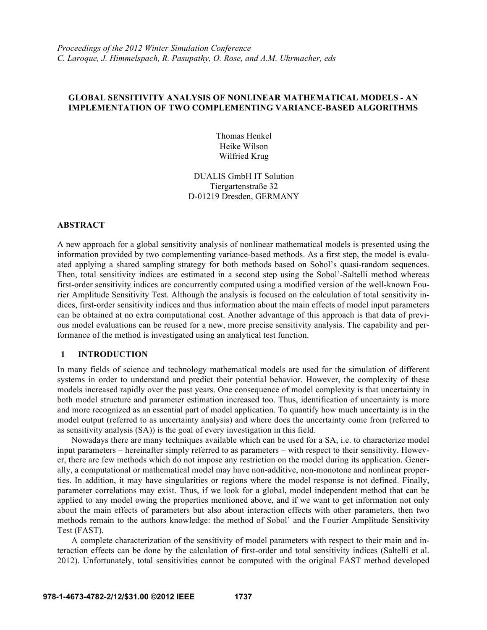# **GLOBAL SENSITIVITY ANALYSIS OF NONLINEAR MATHEMATICAL MODELS - AN IMPLEMENTATION OF TWO COMPLEMENTING VARIANCE-BASED ALGORITHMS**

Thomas Henkel Heike Wilson Wilfried Krug

DUALIS GmbH IT Solution Tiergartenstraße 32 D-01219 Dresden, GERMANY

## **ABSTRACT**

A new approach for a global sensitivity analysis of nonlinear mathematical models is presented using the information provided by two complementing variance-based methods. As a first step, the model is evaluated applying a shared sampling strategy for both methods based on Sobol's quasi-random sequences. Then, total sensitivity indices are estimated in a second step using the Sobol'-Saltelli method whereas first-order sensitivity indices are concurrently computed using a modified version of the well-known Fourier Amplitude Sensitivity Test. Although the analysis is focused on the calculation of total sensitivity indices, first-order sensitivity indices and thus information about the main effects of model input parameters can be obtained at no extra computational cost. Another advantage of this approach is that data of previous model evaluations can be reused for a new, more precise sensitivity analysis. The capability and performance of the method is investigated using an analytical test function.

# **1 INTRODUCTION**

In many fields of science and technology mathematical models are used for the simulation of different systems in order to understand and predict their potential behavior. However, the complexity of these models increased rapidly over the past years. One consequence of model complexity is that uncertainty in both model structure and parameter estimation increased too. Thus, identification of uncertainty is more and more recognized as an essential part of model application. To quantify how much uncertainty is in the model output (referred to as uncertainty analysis) and where does the uncertainty come from (referred to as sensitivity analysis (SA)) is the goal of every investigation in this field.

Nowadays there are many techniques available which can be used for a SA, i.e. to characterize model input parameters – hereinafter simply referred to as parameters – with respect to their sensitivity. However, there are few methods which do not impose any restriction on the model during its application. Generally, a computational or mathematical model may have non-additive, non-monotone and nonlinear properties. In addition, it may have singularities or regions where the model response is not defined. Finally, parameter correlations may exist. Thus, if we look for a global, model independent method that can be applied to any model owing the properties mentioned above, and if we want to get information not only about the main effects of parameters but also about interaction effects with other parameters, then two methods remain to the authors knowledge: the method of Sobol' and the Fourier Amplitude Sensitivity Test (FAST).

A complete characterization of the sensitivity of model parameters with respect to their main and interaction effects can be done by the calculation of first-order and total sensitivity indices (Saltelli et al. 2012). Unfortunately, total sensitivities cannot be computed with the original FAST method developed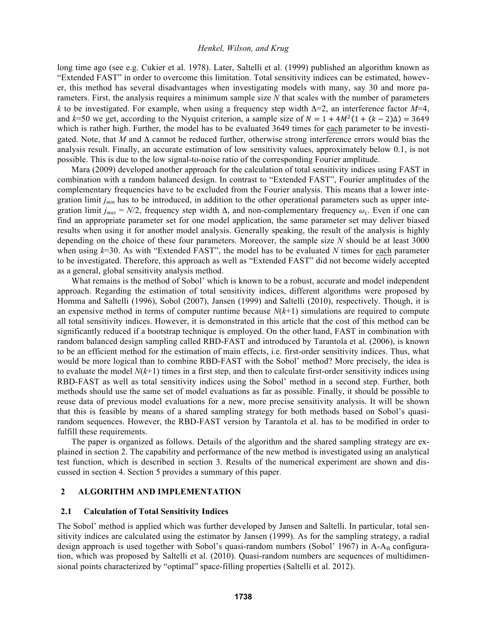long time ago (see e.g. Cukier et al. 1978). Later, Saltelli et al. (1999) published an algorithm known as "Extended FAST" in order to overcome this limitation. Total sensitivity indices can be estimated, however, this method has several disadvantages when investigating models with many, say 30 and more parameters. First, the analysis requires a minimum sample size *N* that scales with the number of parameters *k* to be investigated. For example, when using a frequency step width  $\Delta = 2$ , an interference factor  $M=4$ , and  $k=50$  we get, according to the Nyquist criterion, a sample size of  $N = 1 + 4M^2(1 + (k-2)\Delta) = 3649$ which is rather high. Further, the model has to be evaluated 3649 times for each parameter to be investigated. Note, that *M* and  $\Delta$  cannot be reduced further, otherwise strong interference errors would bias the analysis result. Finally, an accurate estimation of low sensitivity values, approximately below 0.1, is not possible. This is due to the low signal-to-noise ratio of the corresponding Fourier amplitude.

Mara (2009) developed another approach for the calculation of total sensitivity indices using FAST in combination with a random balanced design. In contrast to "Extended FAST", Fourier amplitudes of the complementary frequencies have to be excluded from the Fourier analysis. This means that a lower integration limit *jmin* has to be introduced, in addition to the other operational parameters such as upper integration limit  $j_{max} = N/2$ , frequency step width  $\Delta$ , and non-complementary frequency  $\omega_i$ . Even if one can find an appropriate parameter set for one model application, the same parameter set may deliver biased results when using it for another model analysis. Generally speaking, the result of the analysis is highly depending on the choice of these four parameters. Moreover, the sample size *N* should be at least 3000 when using *k*=30. As with "Extended FAST", the model has to be evaluated *N* times for each parameter to be investigated. Therefore, this approach as well as "Extended FAST" did not become widely accepted as a general, global sensitivity analysis method.

What remains is the method of Sobol' which is known to be a robust, accurate and model independent approach. Regarding the estimation of total sensitivity indices, different algorithms were proposed by Homma and Saltelli (1996), Sobol (2007), Jansen (1999) and Saltelli (2010), respectively. Though, it is an expensive method in terms of computer runtime because *N*(*k*+1) simulations are required to compute all total sensitivity indices. However, it is demonstrated in this article that the cost of this method can be significantly reduced if a bootstrap technique is employed. On the other hand, FAST in combination with random balanced design sampling called RBD-FAST and introduced by Tarantola et al. (2006), is known to be an efficient method for the estimation of main effects, i.e. first-order sensitivity indices. Thus, what would be more logical than to combine RBD-FAST with the Sobol' method? More precisely, the idea is to evaluate the model  $N(k+1)$  times in a first step, and then to calculate first-order sensitivity indices using RBD-FAST as well as total sensitivity indices using the Sobol' method in a second step. Further, both methods should use the same set of model evaluations as far as possible. Finally, it should be possible to reuse data of previous model evaluations for a new, more precise sensitivity analysis. It will be shown that this is feasible by means of a shared sampling strategy for both methods based on Sobol's quasirandom sequences. However, the RBD-FAST version by Tarantola et al. has to be modified in order to fulfill these requirements.

The paper is organized as follows. Details of the algorithm and the shared sampling strategy are explained in section 2. The capability and performance of the new method is investigated using an analytical test function, which is described in section 3. Results of the numerical experiment are shown and discussed in section 4. Section 5 provides a summary of this paper.

#### **2 ALGORITHM AND IMPLEMENTATION**

# **2.1 Calculation of Total Sensitivity Indices**

The Sobol' method is applied which was further developed by Jansen and Saltelli. In particular, total sensitivity indices are calculated using the estimator by Jansen (1999). As for the sampling strategy, a radial design approach is used together with Sobol's quasi-random numbers (Sobol' 1967) in A-A $_B$  configuration, which was proposed by Saltelli et al. (2010). Quasi-random numbers are sequences of multidimensional points characterized by "optimal" space-filling properties (Saltelli et al. 2012).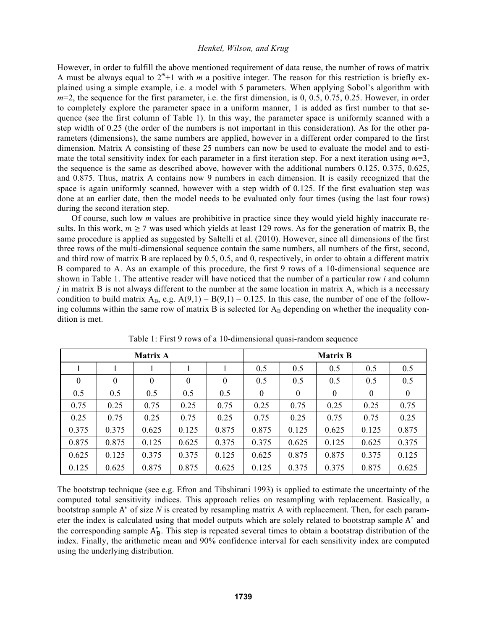However, in order to fulfill the above mentioned requirement of data reuse, the number of rows of matrix A must be always equal to  $2<sup>m</sup>+1$  with *m* a positive integer. The reason for this restriction is briefly explained using a simple example, i.e. a model with 5 parameters. When applying Sobol's algorithm with *m*=2, the sequence for the first parameter, i.e. the first dimension, is 0, 0.5, 0.75, 0.25. However, in order to completely explore the parameter space in a uniform manner, 1 is added as first number to that sequence (see the first column of Table 1). In this way, the parameter space is uniformly scanned with a step width of 0.25 (the order of the numbers is not important in this consideration). As for the other parameters (dimensions), the same numbers are applied, however in a different order compared to the first dimension. Matrix A consisting of these 25 numbers can now be used to evaluate the model and to estimate the total sensitivity index for each parameter in a first iteration step. For a next iteration using *m*=3, the sequence is the same as described above, however with the additional numbers 0.125, 0.375, 0.625, and 0.875. Thus, matrix A contains now 9 numbers in each dimension. It is easily recognized that the space is again uniformly scanned, however with a step width of 0.125. If the first evaluation step was done at an earlier date, then the model needs to be evaluated only four times (using the last four rows) during the second iteration step.

Of course, such low *m* values are prohibitive in practice since they would yield highly inaccurate results. In this work,  $m \ge 7$  was used which yields at least 129 rows. As for the generation of matrix B, the same procedure is applied as suggested by Saltelli et al. (2010). However, since all dimensions of the first three rows of the multi-dimensional sequence contain the same numbers, all numbers of the first, second, and third row of matrix B are replaced by 0.5, 0.5, and 0, respectively, in order to obtain a different matrix B compared to A. As an example of this procedure, the first 9 rows of a 10-dimensional sequence are shown in Table 1. The attentive reader will have noticed that the number of a particular row *i* and column *j* in matrix B is not always different to the number at the same location in matrix A, which is a necessary condition to build matrix  $A_B$ , e.g.  $A(9,1) = B(9,1) = 0.125$ . In this case, the number of one of the following columns within the same row of matrix B is selected for  $A_B$  depending on whether the inequality condition is met.

| <b>Matrix A</b> |          |          |                  |                  | <b>Matrix B</b> |                  |                  |          |          |
|-----------------|----------|----------|------------------|------------------|-----------------|------------------|------------------|----------|----------|
|                 |          |          |                  |                  | 0.5             | 0.5              | 0.5              | 0.5      | 0.5      |
| $\theta$        | $\theta$ | $\theta$ | $\boldsymbol{0}$ | $\boldsymbol{0}$ | 0.5             | 0.5              | 0.5              | 0.5      | 0.5      |
| 0.5             | 0.5      | 0.5      | 0.5              | 0.5              | $\theta$        | $\boldsymbol{0}$ | $\boldsymbol{0}$ | $\theta$ | $\theta$ |
| 0.75            | 0.25     | 0.75     | 0.25             | 0.75             | 0.25            | 0.75             | 0.25             | 0.25     | 0.75     |
| 0.25            | 0.75     | 0.25     | 0.75             | 0.25             | 0.75            | 0.25             | 0.75             | 0.75     | 0.25     |
| 0.375           | 0.375    | 0.625    | 0.125            | 0.875            | 0.875           | 0.125            | 0.625            | 0.125    | 0.875    |
| 0.875           | 0.875    | 0.125    | 0.625            | 0.375            | 0.375           | 0.625            | 0.125            | 0.625    | 0.375    |
| 0.625           | 0.125    | 0.375    | 0.375            | 0.125            | 0.625           | 0.875            | 0.875            | 0.375    | 0.125    |
| 0.125           | 0.625    | 0.875    | 0.875            | 0.625            | 0.125           | 0.375            | 0.375            | 0.875    | 0.625    |

Table 1: First 9 rows of a 10-dimensional quasi-random sequence

The bootstrap technique (see e.g. Efron and Tibshirani 1993) is applied to estimate the uncertainty of the computed total sensitivity indices. This approach relies on resampling with replacement. Basically, a bootstrap sample  $A^*$  of size  $N$  is created by resampling matrix  $A$  with replacement. Then, for each parameter the index is calculated using that model outputs which are solely related to bootstrap sample A\* and the corresponding sample  $A^*_B$ . This step is repeated several times to obtain a bootstrap distribution of the index. Finally, the arithmetic mean and 90% confidence interval for each sensitivity index are computed using the underlying distribution.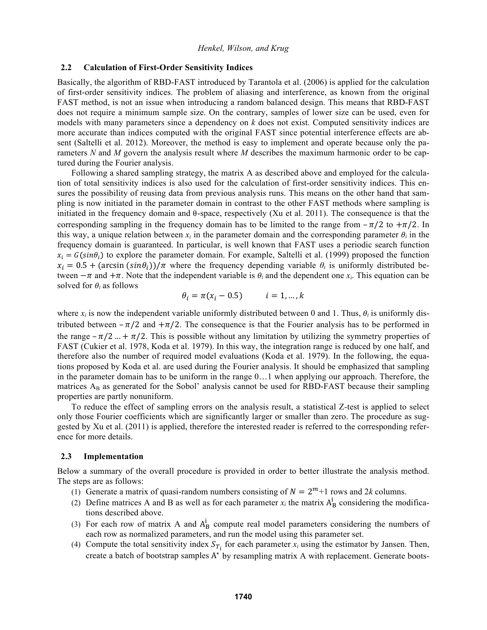# **2.2 Calculation of First-Order Sensitivity Indices**

Basically, the algorithm of RBD-FAST introduced by Tarantola et al. (2006) is applied for the calculation of first-order sensitivity indices. The problem of aliasing and interference, as known from the original FAST method, is not an issue when introducing a random balanced design. This means that RBD-FAST does not require a minimum sample size. On the contrary, samples of lower size can be used, even for models with many parameters since a dependency on *k* does not exist. Computed sensitivity indices are more accurate than indices computed with the original FAST since potential interference effects are absent (Saltelli et al. 2012). Moreover, the method is easy to implement and operate because only the parameters *N* and *M* govern the analysis result where *M* describes the maximum harmonic order to be captured during the Fourier analysis.

Following a shared sampling strategy, the matrix A as described above and employed for the calculation of total sensitivity indices is also used for the calculation of first-order sensitivity indices. This ensures the possibility of reusing data from previous analysis runs. This means on the other hand that sampling is now initiated in the parameter domain in contrast to the other FAST methods where sampling is initiated in the frequency domain and  $\theta$ -space, respectively (Xu et al. 2011). The consequence is that the corresponding sampling in the frequency domain has to be limited to the range from  $-\pi/2$  to  $+\pi/2$ . In this way, a unique relation between  $x_i$  in the parameter domain and the corresponding parameter  $\theta_i$  in the frequency domain is guaranteed. In particular, is well known that FAST uses a periodic search function  $x_i = G(sin\theta_i)$  to explore the parameter domain. For example, Saltelli et al. (1999) proposed the function  $x_i = 0.5 + (\arcsin(\sin\theta_i))/\pi$  where the frequency depending variable  $\theta_i$  is uniformly distributed between  $-\pi$  and  $+\pi$ . Note that the independent variable is  $\theta_i$  and the dependent one  $x_i$ . This equation can be solved for  $\theta_i$  as follows

$$
\theta_i = \pi(x_i - 0.5) \qquad i = 1, \dots, k
$$

where  $x_i$  is now the independent variable uniformly distributed between 0 and 1. Thus,  $\theta_i$  is uniformly distributed between  $-\pi/2$  and  $+\pi/2$ . The consequence is that the Fourier analysis has to be performed in the range  $-\pi/2$  ... +  $\pi/2$ . This is possible without any limitation by utilizing the symmetry properties of FAST (Cukier et al. 1978, Koda et al. 1979). In this way, the integration range is reduced by one half, and therefore also the number of required model evaluations (Koda et al. 1979). In the following, the equations proposed by Koda et al. are used during the Fourier analysis. It should be emphasized that sampling in the parameter domain has to be uniform in the range 0…1 when applying our approach. Therefore, the matrices  $A_B$  as generated for the Sobol' analysis cannot be used for RBD-FAST because their sampling properties are partly nonuniform.

To reduce the effect of sampling errors on the analysis result, a statistical Z-test is applied to select only those Fourier coefficients which are significantly larger or smaller than zero. The procedure as suggested by Xu et al. (2011) is applied, therefore the interested reader is referred to the corresponding reference for more details.

#### **2.3 Implementation**

Below a summary of the overall procedure is provided in order to better illustrate the analysis method. The steps are as follows:

- (1) Generate a matrix of quasi-random numbers consisting of  $N = 2<sup>m</sup>+1$  rows and 2*k* columns.
- (2) Define matrices A and B as well as for each parameter  $x_i$  the matrix  $A_B^i$  considering the modifications described above.
- (3) For each row of matrix A and  $A_B^i$  compute real model parameters considering the numbers of each row as normalized parameters, and run the model using this parameter set.
- (4) Compute the total sensitivity index  $S_{T_i}$  for each parameter  $x_i$  using the estimator by Jansen. Then, create a batch of bootstrap samples A\* by resampling matrix A with replacement. Generate boots-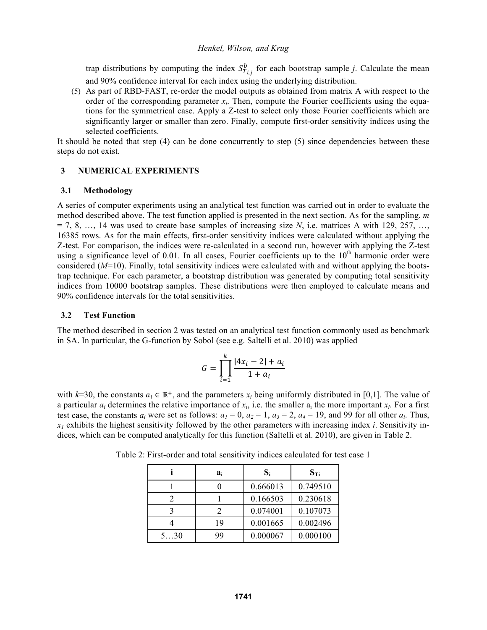trap distributions by computing the index  $S_{T_{i,j}}^b$  for each bootstrap sample *j*. Calculate the mean and 90% confidence interval for each index using the underlying distribution.

(5) As part of RBD-FAST, re-order the model outputs as obtained from matrix A with respect to the order of the corresponding parameter  $x_i$ . Then, compute the Fourier coefficients using the equations for the symmetrical case. Apply a Z-test to select only those Fourier coefficients which are significantly larger or smaller than zero. Finally, compute first-order sensitivity indices using the selected coefficients.

It should be noted that step  $(4)$  can be done concurrently to step  $(5)$  since dependencies between these steps do not exist.

# **3 NUMERICAL EXPERIMENTS**

# **3.1 Methodology**

A series of computer experiments using an analytical test function was carried out in order to evaluate the method described above. The test function applied is presented in the next section. As for the sampling, *m*  $= 7, 8, \ldots, 14$  was used to create base samples of increasing size *N*, i.e. matrices A with 129, 257, ... 16385 rows. As for the main effects, first-order sensitivity indices were calculated without applying the Z-test. For comparison, the indices were re-calculated in a second run, however with applying the Z-test using a significance level of  $0.01$ . In all cases, Fourier coefficients up to the  $10<sup>th</sup>$  harmonic order were considered (*M*=10). Finally, total sensitivity indices were calculated with and without applying the bootstrap technique. For each parameter, a bootstrap distribution was generated by computing total sensitivity indices from 10000 bootstrap samples. These distributions were then employed to calculate means and 90% confidence intervals for the total sensitivities.

# **3.2 Test Function**

The method described in section 2 was tested on an analytical test function commonly used as benchmark in SA. In particular, the G-function by Sobol (see e.g. Saltelli et al. 2010) was applied

$$
G = \prod_{i=1}^{k} \frac{|4x_i - 2| + a_i}{1 + a_i}
$$

with  $k=30$ , the constants  $a_i \in \mathbb{R}^+$ , and the parameters  $x_i$  being uniformly distributed in [0,1]. The value of a particular  $a_i$  determines the relative importance of  $x_i$ , i.e. the smaller  $a_i$  the more important  $x_i$ . For a first test case, the constants  $a_i$  were set as follows:  $a_1 = 0$ ,  $a_2 = 1$ ,  $a_3 = 2$ ,  $a_4 = 19$ , and 99 for all other  $a_i$ . Thus,  $x_1$  exhibits the highest sensitivity followed by the other parameters with increasing index *i*. Sensitivity indices, which can be computed analytically for this function (Saltelli et al. 2010), are given in Table 2.

|     | ai                    | $S_i$    | $S_{Ti}$ |
|-----|-----------------------|----------|----------|
|     |                       | 0.666013 | 0.749510 |
|     |                       | 0.166503 | 0.230618 |
|     | $\mathcal{D}_{\cdot}$ | 0.074001 | 0.107073 |
|     | 19                    | 0.001665 | 0.002496 |
| 530 | 99                    | 0.000067 | 0.000100 |

Table 2: First-order and total sensitivity indices calculated for test case 1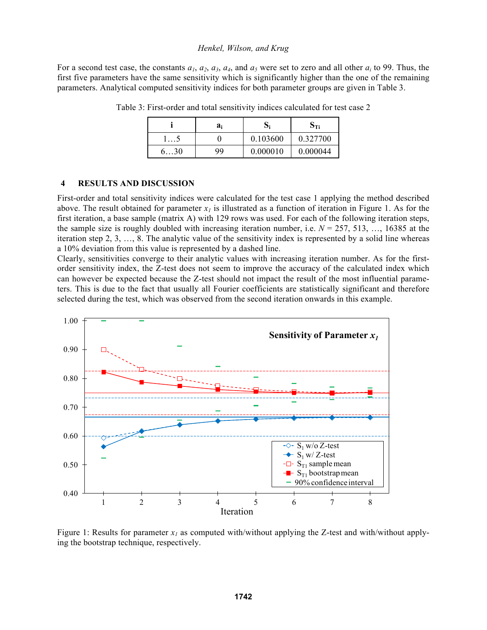For a second test case, the constants  $a_1$ ,  $a_2$ ,  $a_3$ ,  $a_4$ , and  $a_5$  were set to zero and all other  $a_i$  to 99. Thus, the first five parameters have the same sensitivity which is significantly higher than the one of the remaining parameters. Analytical computed sensitivity indices for both parameter groups are given in Table 3.

|    | $a_i$ |          | Эті      |
|----|-------|----------|----------|
|    |       | 0.103600 | 0.327700 |
| 30 | 99    | 0.000010 | 0.000044 |

Table 3: First-order and total sensitivity indices calculated for test case 2

# **4 RESULTS AND DISCUSSION**

First-order and total sensitivity indices were calculated for the test case 1 applying the method described above. The result obtained for parameter  $x_i$  is illustrated as a function of iteration in Figure 1. As for the first iteration, a base sample (matrix A) with 129 rows was used. For each of the following iteration steps, the sample size is roughly doubled with increasing iteration number, i.e.  $N = 257, 513, \ldots, 16385$  at the iteration step 2, 3, …, 8. The analytic value of the sensitivity index is represented by a solid line whereas a 10% deviation from this value is represented by a dashed line.

Clearly, sensitivities converge to their analytic values with increasing iteration number. As for the firstorder sensitivity index, the Z-test does not seem to improve the accuracy of the calculated index which can however be expected because the Z-test should not impact the result of the most influential parameters. This is due to the fact that usually all Fourier coefficients are statistically significant and therefore selected during the test, which was observed from the second iteration onwards in this example.



Figure 1: Results for parameter  $x_l$  as computed with/without applying the Z-test and with/without applying the bootstrap technique, respectively.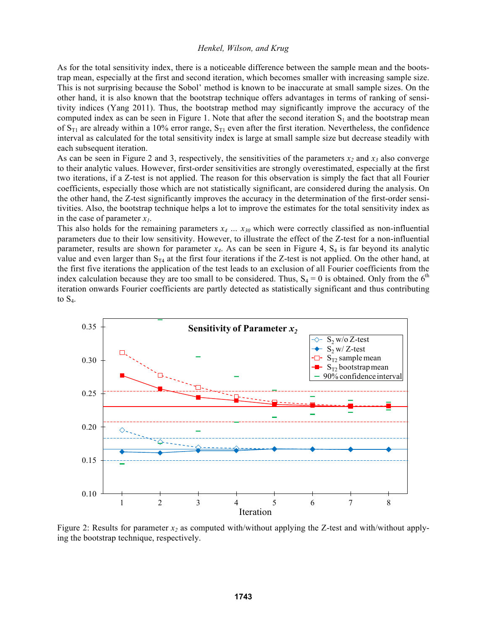As for the total sensitivity index, there is a noticeable difference between the sample mean and the bootstrap mean, especially at the first and second iteration, which becomes smaller with increasing sample size. This is not surprising because the Sobol' method is known to be inaccurate at small sample sizes. On the other hand, it is also known that the bootstrap technique offers advantages in terms of ranking of sensitivity indices (Yang 2011). Thus, the bootstrap method may significantly improve the accuracy of the computed index as can be seen in Figure 1. Note that after the second iteration  $S_1$  and the bootstrap mean of  $S_{T1}$  are already within a 10% error range,  $S_{T1}$  even after the first iteration. Nevertheless, the confidence interval as calculated for the total sensitivity index is large at small sample size but decrease steadily with each subsequent iteration.

As can be seen in Figure 2 and 3, respectively, the sensitivities of the parameters  $x_2$  and  $x_3$  also converge to their analytic values. However, first-order sensitivities are strongly overestimated, especially at the first two iterations, if a Z-test is not applied. The reason for this observation is simply the fact that all Fourier coefficients, especially those which are not statistically significant, are considered during the analysis. On the other hand, the Z-test significantly improves the accuracy in the determination of the first-order sensitivities. Also, the bootstrap technique helps a lot to improve the estimates for the total sensitivity index as in the case of parameter  $x_1$ .

This also holds for the remaining parameters  $x_4 \ldots x_{30}$  which were correctly classified as non-influential parameters due to their low sensitivity. However, to illustrate the effect of the Z-test for a non-influential parameter, results are shown for parameter  $x_4$ . As can be seen in Figure 4,  $S_4$  is far beyond its analytic value and even larger than  $S_{T4}$  at the first four iterations if the Z-test is not applied. On the other hand, at the first five iterations the application of the test leads to an exclusion of all Fourier coefficients from the index calculation because they are too small to be considered. Thus,  $S_4 = 0$  is obtained. Only from the 6<sup>th</sup> iteration onwards Fourier coefficients are partly detected as statistically significant and thus contributing to  $S_4$ .



Figure 2: Results for parameter  $x_2$  as computed with/without applying the Z-test and with/without applying the bootstrap technique, respectively.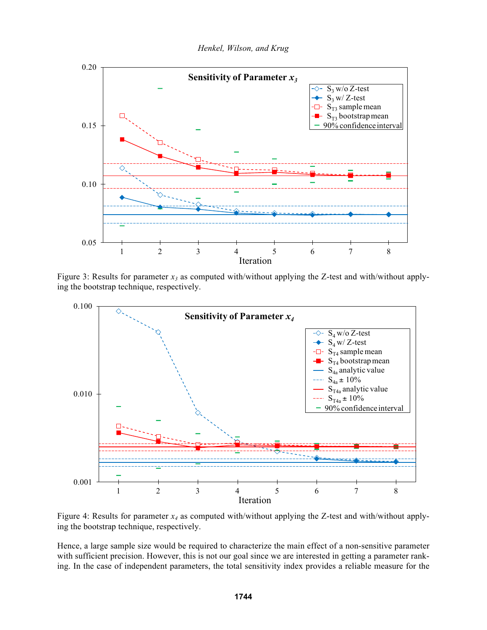

Figure 3: Results for parameter  $x_3$  as computed with/without applying the Z-test and with/without applying the bootstrap technique, respectively.



Figure 4: Results for parameter  $x_4$  as computed with/without applying the Z-test and with/without applying the bootstrap technique, respectively.

Hence, a large sample size would be required to characterize the main effect of a non-sensitive parameter with sufficient precision. However, this is not our goal since we are interested in getting a parameter ranking. In the case of independent parameters, the total sensitivity index provides a reliable measure for the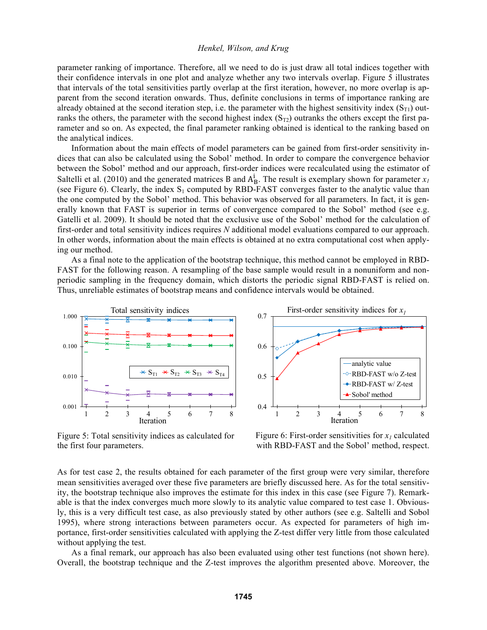parameter ranking of importance. Therefore, all we need to do is just draw all total indices together with their confidence intervals in one plot and analyze whether any two intervals overlap. Figure 5 illustrates that intervals of the total sensitivities partly overlap at the first iteration, however, no more overlap is apparent from the second iteration onwards. Thus, definite conclusions in terms of importance ranking are already obtained at the second iteration step, i.e. the parameter with the highest sensitivity index  $(S_{T1})$  outranks the others, the parameter with the second highest index  $(S_T<sub>2</sub>)$  outranks the others except the first parameter and so on. As expected, the final parameter ranking obtained is identical to the ranking based on the analytical indices.

Information about the main effects of model parameters can be gained from first-order sensitivity indices that can also be calculated using the Sobol' method. In order to compare the convergence behavior between the Sobol' method and our approach, first-order indices were recalculated using the estimator of Saltelli et al. (2010) and the generated matrices B and  $A_B^i$ . The result is exemplary shown for parameter  $x_I$ (see Figure 6). Clearly, the index  $S_1$  computed by RBD-FAST converges faster to the analytic value than the one computed by the Sobol' method. This behavior was observed for all parameters. In fact, it is generally known that FAST is superior in terms of convergence compared to the Sobol' method (see e.g. Gatelli et al. 2009). It should be noted that the exclusive use of the Sobol' method for the calculation of first-order and total sensitivity indices requires *N* additional model evaluations compared to our approach. In other words, information about the main effects is obtained at no extra computational cost when applying our method.

As a final note to the application of the bootstrap technique, this method cannot be employed in RBD-FAST for the following reason. A resampling of the base sample would result in a nonuniform and nonperiodic sampling in the frequency domain, which distorts the periodic signal RBD-FAST is relied on. Thus, unreliable estimates of bootstrap means and confidence intervals would be obtained.



Figure 5: Total sensitivity indices as calculated for the first four parameters.



Figure 6: First-order sensitivities for  $x_i$  calculated with RBD-FAST and the Sobol' method, respect.

As for test case 2, the results obtained for each parameter of the first group were very similar, therefore mean sensitivities averaged over these five parameters are briefly discussed here. As for the total sensitivity, the bootstrap technique also improves the estimate for this index in this case (see Figure 7). Remarkable is that the index converges much more slowly to its analytic value compared to test case 1. Obviously, this is a very difficult test case, as also previously stated by other authors (see e.g. Saltelli and Sobol 1995), where strong interactions between parameters occur. As expected for parameters of high importance, first-order sensitivities calculated with applying the Z-test differ very little from those calculated without applying the test.

As a final remark, our approach has also been evaluated using other test functions (not shown here). Overall, the bootstrap technique and the Z-test improves the algorithm presented above. Moreover, the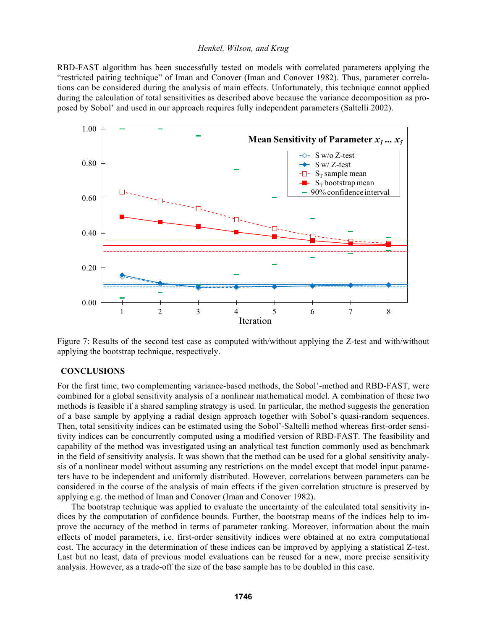RBD-FAST algorithm has been successfully tested on models with correlated parameters applying the "restricted pairing technique" of Iman and Conover (Iman and Conover 1982). Thus, parameter correlations can be considered during the analysis of main effects. Unfortunately, this technique cannot applied during the calculation of total sensitivities as described above because the variance decomposition as proposed by Sobol' and used in our approach requires fully independent parameters (Saltelli 2002).



Figure 7: Results of the second test case as computed with/without applying the Z-test and with/without applying the bootstrap technique, respectively.

#### **CONCLUSIONS**

For the first time, two complementing variance-based methods, the Sobol'-method and RBD-FAST, were combined for a global sensitivity analysis of a nonlinear mathematical model. A combination of these two methods is feasible if a shared sampling strategy is used. In particular, the method suggests the generation of a base sample by applying a radial design approach together with Sobol's quasi-random sequences. Then, total sensitivity indices can be estimated using the Sobol'-Saltelli method whereas first-order sensitivity indices can be concurrently computed using a modified version of RBD-FAST. The feasibility and capability of the method was investigated using an analytical test function commonly used as benchmark in the field of sensitivity analysis. It was shown that the method can be used for a global sensitivity analysis of a nonlinear model without assuming any restrictions on the model except that model input parameters have to be independent and uniformly distributed. However, correlations between parameters can be considered in the course of the analysis of main effects if the given correlation structure is preserved by applying e.g. the method of Iman and Conover (Iman and Conover 1982).

The bootstrap technique was applied to evaluate the uncertainty of the calculated total sensitivity indices by the computation of confidence bounds. Further, the bootstrap means of the indices help to improve the accuracy of the method in terms of parameter ranking. Moreover, information about the main effects of model parameters, i.e. first-order sensitivity indices were obtained at no extra computational cost. The accuracy in the determination of these indices can be improved by applying a statistical Z-test. Last but no least, data of previous model evaluations can be reused for a new, more precise sensitivity analysis. However, as a trade-off the size of the base sample has to be doubled in this case.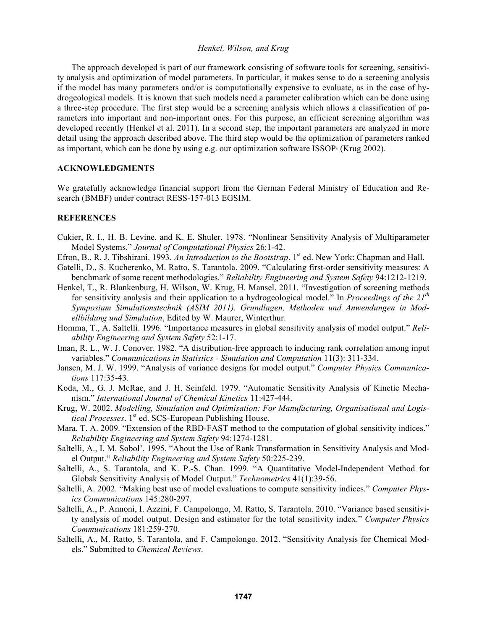The approach developed is part of our framework consisting of software tools for screening, sensitivity analysis and optimization of model parameters. In particular, it makes sense to do a screening analysis if the model has many parameters and/or is computationally expensive to evaluate, as in the case of hydrogeological models. It is known that such models need a parameter calibration which can be done using a three-step procedure. The first step would be a screening analysis which allows a classification of parameters into important and non-important ones. For this purpose, an efficient screening algorithm was developed recently (Henkel et al. 2011). In a second step, the important parameters are analyzed in more detail using the approach described above. The third step would be the optimization of parameters ranked as important, which can be done by using e.g. our optimization software ISSOP $\textdegree$  (Krug 2002).

### **ACKNOWLEDGMENTS**

We gratefully acknowledge financial support from the German Federal Ministry of Education and Research (BMBF) under contract RESS-157-013 EGSIM.

## **REFERENCES**

- Cukier, R. I., H. B. Levine, and K. E. Shuler. 1978. "Nonlinear Sensitivity Analysis of Multiparameter Model Systems." *Journal of Computational Physics* 26:1-42.
- Efron, B., R. J. Tibshirani. 1993. *An Introduction to the Bootstrap*. 1<sup>st</sup> ed. New York: Chapman and Hall.
- Gatelli, D., S. Kucherenko, M. Ratto, S. Tarantola. 2009. "Calculating first-order sensitivity measures: A benchmark of some recent methodologies." *Reliability Engineering and System Safety* 94:1212-1219.
- Henkel, T., R. Blankenburg, H. Wilson, W. Krug, H. Mansel. 2011. "Investigation of screening methods for sensitivity analysis and their application to a hydrogeological model." In *Proceedings of the 21th Symposium Simulationstechnik (ASIM 2011). Grundlagen, Methoden und Anwendungen in Modellbildung und Simulation*, Edited by W. Maurer, Winterthur.
- Homma, T., A. Saltelli. 1996. "Importance measures in global sensitivity analysis of model output." *Reliability Engineering and System Safety* 52:1-17.
- Iman, R. L., W. J. Conover. 1982. "A distribution-free approach to inducing rank correlation among input variables." *Communications in Statistics - Simulation and Computation* 11(3): 311-334.
- Jansen, M. J. W. 1999. "Analysis of variance designs for model output." *Computer Physics Communications* 117:35-43.
- Koda, M., G. J. McRae, and J. H. Seinfeld. 1979. "Automatic Sensitivity Analysis of Kinetic Mechanism." *International Journal of Chemical Kinetics* 11:427-444.
- Krug, W. 2002. *Modelling, Simulation and Optimisation: For Manufacturing, Organisational and Logistical Processes*. 1<sup>st</sup> ed. SCS-European Publishing House.
- Mara, T. A. 2009. "Extension of the RBD-FAST method to the computation of global sensitivity indices." *Reliability Engineering and System Safety* 94:1274-1281.
- Saltelli, A., I. M. Sobol'. 1995. "About the Use of Rank Transformation in Sensitivity Analysis and Model Output." *Reliability Engineering and System Safety* 50:225-239.
- Saltelli, A., S. Tarantola, and K. P.-S. Chan. 1999. "A Quantitative Model-Independent Method for Globak Sensitivity Analysis of Model Output." *Technometrics* 41(1):39-56.
- Saltelli, A. 2002. "Making best use of model evaluations to compute sensitivity indices." *Computer Physics Communications* 145:280-297.
- Saltelli, A., P. Annoni, I. Azzini, F. Campolongo, M. Ratto, S. Tarantola. 2010. "Variance based sensitivity analysis of model output. Design and estimator for the total sensitivity index." *Computer Physics Communications* 181:259-270.
- Saltelli, A., M. Ratto, S. Tarantola, and F. Campolongo. 2012. "Sensitivity Analysis for Chemical Models." Submitted to *Chemical Reviews*.